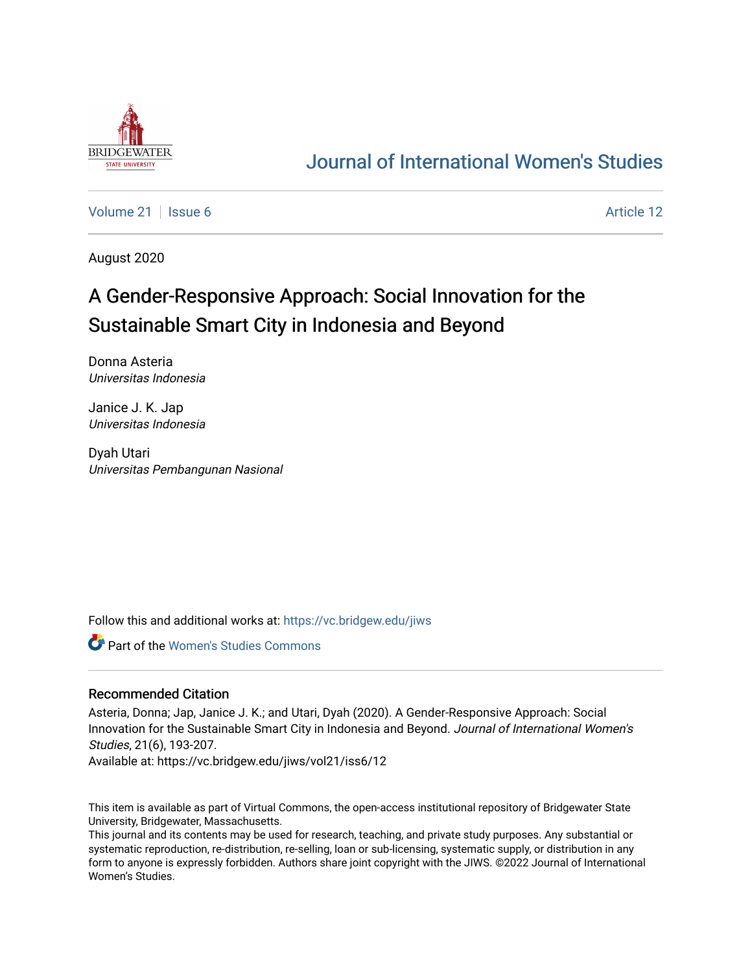

## [Journal of International Women's Studies](https://vc.bridgew.edu/jiws)

[Volume 21](https://vc.bridgew.edu/jiws/vol21) | [Issue 6](https://vc.bridgew.edu/jiws/vol21/iss6) Article 12

August 2020

# A Gender-Responsive Approach: Social Innovation for the Sustainable Smart City in Indonesia and Beyond

Donna Asteria Universitas Indonesia

Janice J. K. Jap Universitas Indonesia

Dyah Utari Universitas Pembangunan Nasional

Follow this and additional works at: [https://vc.bridgew.edu/jiws](https://vc.bridgew.edu/jiws?utm_source=vc.bridgew.edu%2Fjiws%2Fvol21%2Fiss6%2F12&utm_medium=PDF&utm_campaign=PDFCoverPages)

Part of the [Women's Studies Commons](http://network.bepress.com/hgg/discipline/561?utm_source=vc.bridgew.edu%2Fjiws%2Fvol21%2Fiss6%2F12&utm_medium=PDF&utm_campaign=PDFCoverPages) 

#### Recommended Citation

Asteria, Donna; Jap, Janice J. K.; and Utari, Dyah (2020). A Gender-Responsive Approach: Social Innovation for the Sustainable Smart City in Indonesia and Beyond. Journal of International Women's Studies, 21(6), 193-207.

Available at: https://vc.bridgew.edu/jiws/vol21/iss6/12

This item is available as part of Virtual Commons, the open-access institutional repository of Bridgewater State University, Bridgewater, Massachusetts.

This journal and its contents may be used for research, teaching, and private study purposes. Any substantial or systematic reproduction, re-distribution, re-selling, loan or sub-licensing, systematic supply, or distribution in any form to anyone is expressly forbidden. Authors share joint copyright with the JIWS. ©2022 Journal of International Women's Studies.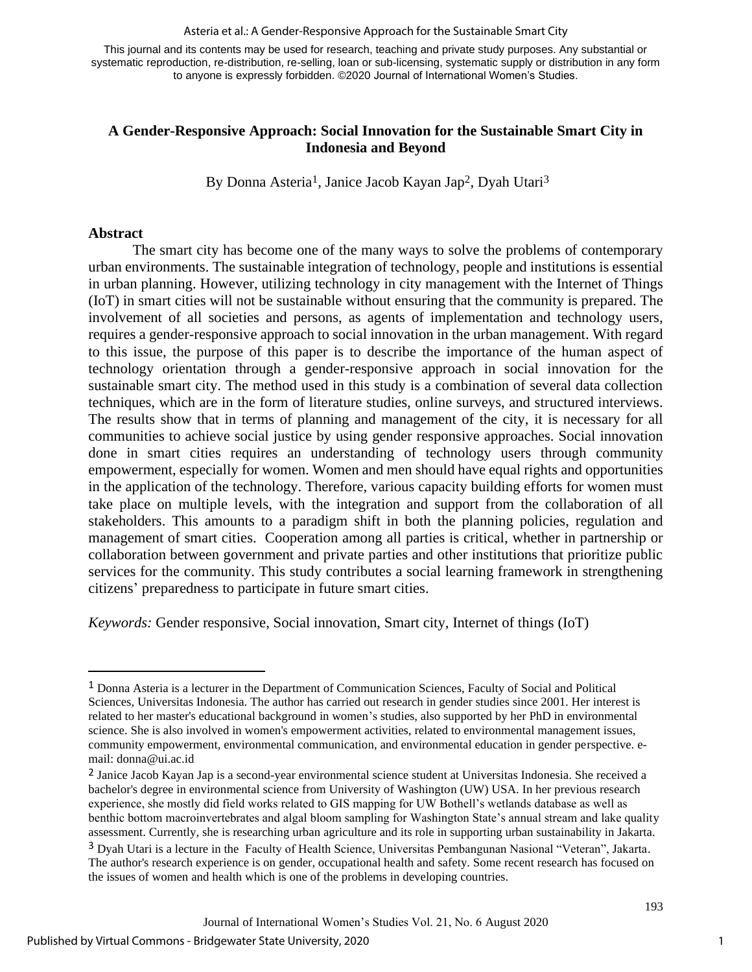#### Asteria et al.: A Gender-Responsive Approach for the Sustainable Smart City

This journal and its contents may be used for research, teaching and private study purposes. Any substantial or systematic reproduction, re-distribution, re-selling, loan or sub-licensing, systematic supply or distribution in any form to anyone is expressly forbidden. ©2020 Journal of International Women's Studies.

## **A Gender-Responsive Approach: Social Innovation for the Sustainable Smart City in Indonesia and Beyond**

By Donna Asteria<sup>1</sup>, Janice Jacob Kayan Jap<sup>2</sup>, Dyah Utari<sup>3</sup>

#### **Abstract**

The smart city has become one of the many ways to solve the problems of contemporary urban environments. The sustainable integration of technology, people and institutions is essential in urban planning. However, utilizing technology in city management with the Internet of Things (IoT) in smart cities will not be sustainable without ensuring that the community is prepared. The involvement of all societies and persons, as agents of implementation and technology users, requires a gender-responsive approach to social innovation in the urban management. With regard to this issue, the purpose of this paper is to describe the importance of the human aspect of technology orientation through a gender-responsive approach in social innovation for the sustainable smart city. The method used in this study is a combination of several data collection techniques, which are in the form of literature studies, online surveys, and structured interviews. The results show that in terms of planning and management of the city, it is necessary for all communities to achieve social justice by using gender responsive approaches. Social innovation done in smart cities requires an understanding of technology users through community empowerment, especially for women. Women and men should have equal rights and opportunities in the application of the technology. Therefore, various capacity building efforts for women must take place on multiple levels, with the integration and support from the collaboration of all stakeholders. This amounts to a paradigm shift in both the planning policies, regulation and management of smart cities. Cooperation among all parties is critical, whether in partnership or collaboration between government and private parties and other institutions that prioritize public services for the community. This study contributes a social learning framework in strengthening citizens' preparedness to participate in future smart cities.

*Keywords:* Gender responsive, Social innovation, Smart city, Internet of things (IoT)

<sup>1</sup> Donna Asteria is a lecturer in the Department of Communication Sciences, Faculty of Social and Political Sciences, Universitas Indonesia. The author has carried out research in gender studies since 2001. Her interest is related to her master's educational background in women's studies, also supported by her PhD in environmental science. She is also involved in women's empowerment activities, related to environmental management issues, community empowerment, environmental communication, and environmental education in gender perspective. email: [donna@ui.ac.id](mailto:donna@ui.ac.id)

<sup>2</sup> Janice Jacob Kayan Jap is a second-year environmental science student at Universitas Indonesia. She received a bachelor's degree in environmental science from University of Washington (UW) USA. In her previous research experience, she mostly did field works related to GIS mapping for UW Bothell's wetlands database as well as benthic bottom macroinvertebrates and algal bloom sampling for Washington State's annual stream and lake quality assessment. Currently, she is researching urban agriculture and its role in supporting urban sustainability in Jakarta.

<sup>3</sup> Dyah Utari is a lecture in the Faculty of Health Science, Universitas Pembangunan Nasional "Veteran", Jakarta. The author's research experience is on gender, occupational health and safety. Some recent research has focused on the issues of women and health which is one of the problems in developing countries.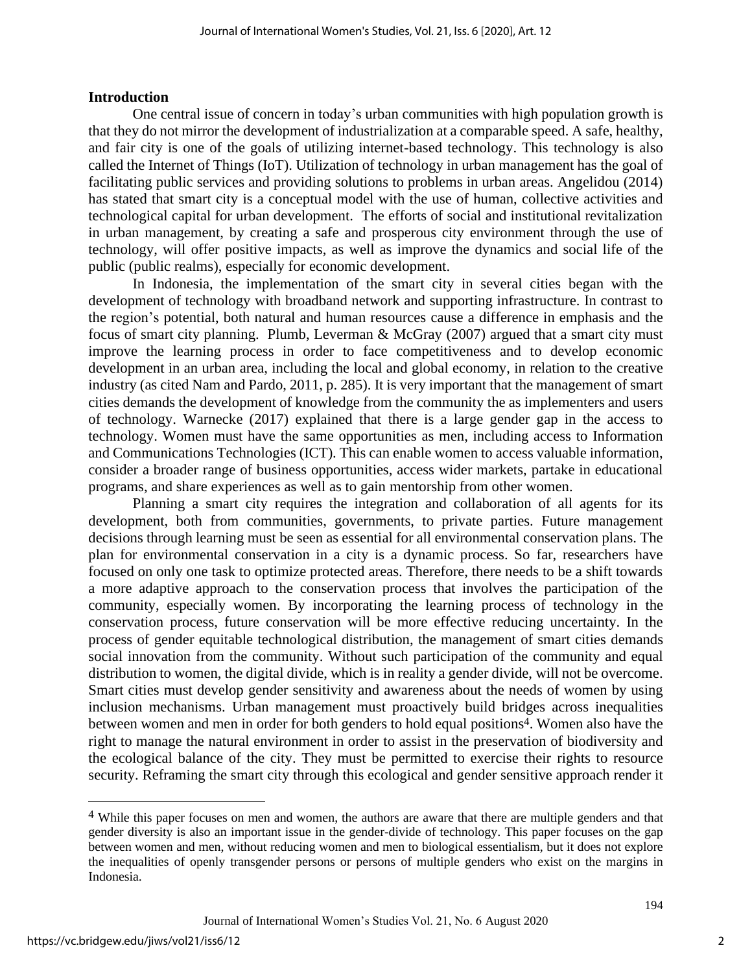### **Introduction**

One central issue of concern in today's urban communities with high population growth is that they do not mirror the development of industrialization at a comparable speed. A safe, healthy, and fair city is one of the goals of utilizing internet-based technology. This technology is also called the Internet of Things (IoT). Utilization of technology in urban management has the goal of facilitating public services and providing solutions to problems in urban areas. Angelidou (2014) has stated that smart city is a conceptual model with the use of human, collective activities and technological capital for urban development. The efforts of social and institutional revitalization in urban management, by creating a safe and prosperous city environment through the use of technology, will offer positive impacts, as well as improve the dynamics and social life of the public (public realms), especially for economic development.

In Indonesia, the implementation of the smart city in several cities began with the development of technology with broadband network and supporting infrastructure. In contrast to the region's potential, both natural and human resources cause a difference in emphasis and the focus of smart city planning. Plumb, Leverman & McGray (2007) argued that a smart city must improve the learning process in order to face competitiveness and to develop economic development in an urban area, including the local and global economy, in relation to the creative industry (as cited Nam and Pardo, 2011, p. 285). It is very important that the management of smart cities demands the development of knowledge from the community the as implementers and users of technology. Warnecke (2017) explained that there is a large gender gap in the access to technology. Women must have the same opportunities as men, including access to Information and Communications Technologies (ICT). This can enable women to access valuable information, consider a broader range of business opportunities, access wider markets, partake in educational programs, and share experiences as well as to gain mentorship from other women.

Planning a smart city requires the integration and collaboration of all agents for its development, both from communities, governments, to private parties. Future management decisions through learning must be seen as essential for all environmental conservation plans. The plan for environmental conservation in a city is a dynamic process. So far, researchers have focused on only one task to optimize protected areas. Therefore, there needs to be a shift towards a more adaptive approach to the conservation process that involves the participation of the community, especially women. By incorporating the learning process of technology in the conservation process, future conservation will be more effective reducing uncertainty. In the process of gender equitable technological distribution, the management of smart cities demands social innovation from the community. Without such participation of the community and equal distribution to women, the digital divide, which is in reality a gender divide, will not be overcome. Smart cities must develop gender sensitivity and awareness about the needs of women by using inclusion mechanisms. Urban management must proactively build bridges across inequalities between women and men in order for both genders to hold equal positions 4. Women also have the right to manage the natural environment in order to assist in the preservation of biodiversity and the ecological balance of the city. They must be permitted to exercise their rights to resource security. Reframing the smart city through this ecological and gender sensitive approach render it

2

<sup>4</sup> While this paper focuses on men and women, the authors are aware that there are multiple genders and that gender diversity is also an important issue in the gender-divide of technology. This paper focuses on the gap between women and men, without reducing women and men to biological essentialism, but it does not explore the inequalities of openly transgender persons or persons of multiple genders who exist on the margins in Indonesia.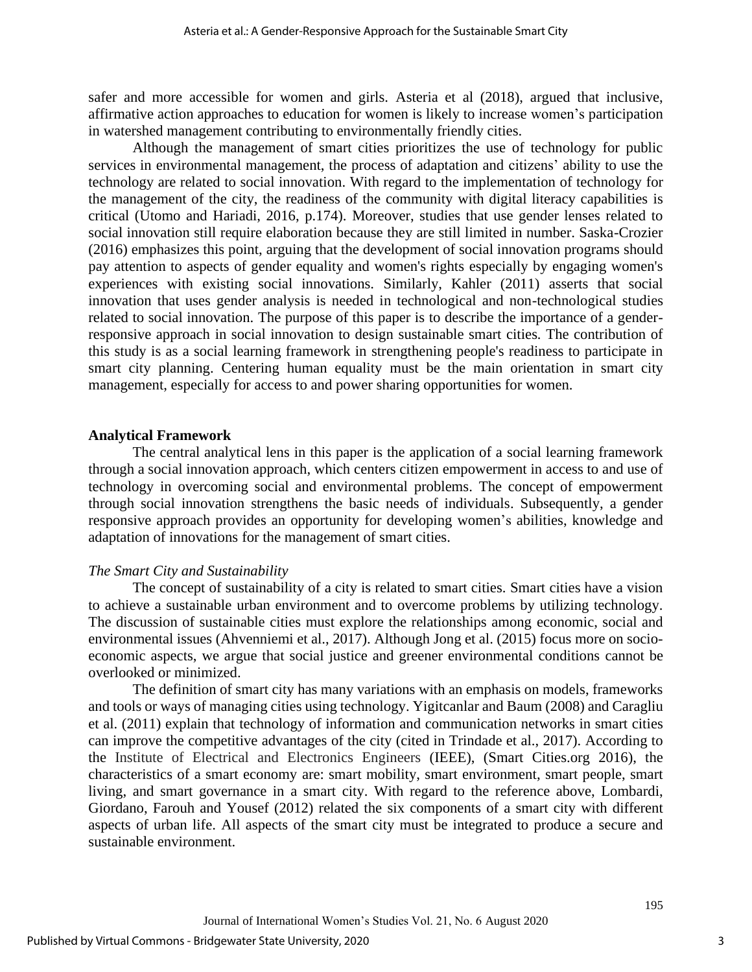safer and more accessible for women and girls. Asteria et al (2018), argued that inclusive, affirmative action approaches to education for women is likely to increase women's participation in watershed management contributing to environmentally friendly cities.

Although the management of smart cities prioritizes the use of technology for public services in environmental management, the process of adaptation and citizens' ability to use the technology are related to social innovation. With regard to the implementation of technology for the management of the city, the readiness of the community with digital literacy capabilities is critical (Utomo and Hariadi, 2016, p.174). Moreover, studies that use gender lenses related to social innovation still require elaboration because they are still limited in number. Saska-Crozier (2016) emphasizes this point, arguing that the development of social innovation programs should pay attention to aspects of gender equality and women's rights especially by engaging women's experiences with existing social innovations. Similarly, Kahler (2011) asserts that social innovation that uses gender analysis is needed in technological and non-technological studies related to social innovation. The purpose of this paper is to describe the importance of a genderresponsive approach in social innovation to design sustainable smart cities*.* The contribution of this study is as a social learning framework in strengthening people's readiness to participate in smart city planning. Centering human equality must be the main orientation in smart city management, especially for access to and power sharing opportunities for women.

#### **Analytical Framework**

The central analytical lens in this paper is the application of a social learning framework through a social innovation approach, which centers citizen empowerment in access to and use of technology in overcoming social and environmental problems. The concept of empowerment through social innovation strengthens the basic needs of individuals. Subsequently, a gender responsive approach provides an opportunity for developing women's abilities, knowledge and adaptation of innovations for the management of smart cities.

#### *The Smart City and Sustainability*

The concept of sustainability of a city is related to smart cities. Smart cities have a vision to achieve a sustainable urban environment and to overcome problems by utilizing technology. The discussion of sustainable cities must explore the relationships among economic, social and environmental issues (Ahvenniemi et al., 2017). Although Jong et al. (2015) focus more on socioeconomic aspects, we argue that social justice and greener environmental conditions cannot be overlooked or minimized.

The definition of smart city has many variations with an emphasis on models, frameworks and tools or ways of managing cities using technology. Yigitcanlar and Baum (2008) and Caragliu et al. (2011) explain that technology of information and communication networks in smart cities can improve the competitive advantages of the city (cited in Trindade et al., 2017). According to the Institute of Electrical and Electronics Engineers (IEEE), (Smart Cities.org 2016), the characteristics of a smart economy are: smart mobility, smart environment, smart people, smart living, and smart governance in a smart city. With regard to the reference above, Lombardi, Giordano, Farouh and Yousef (2012) related the six components of a smart city with different aspects of urban life. All aspects of the smart city must be integrated to produce a secure and sustainable environment.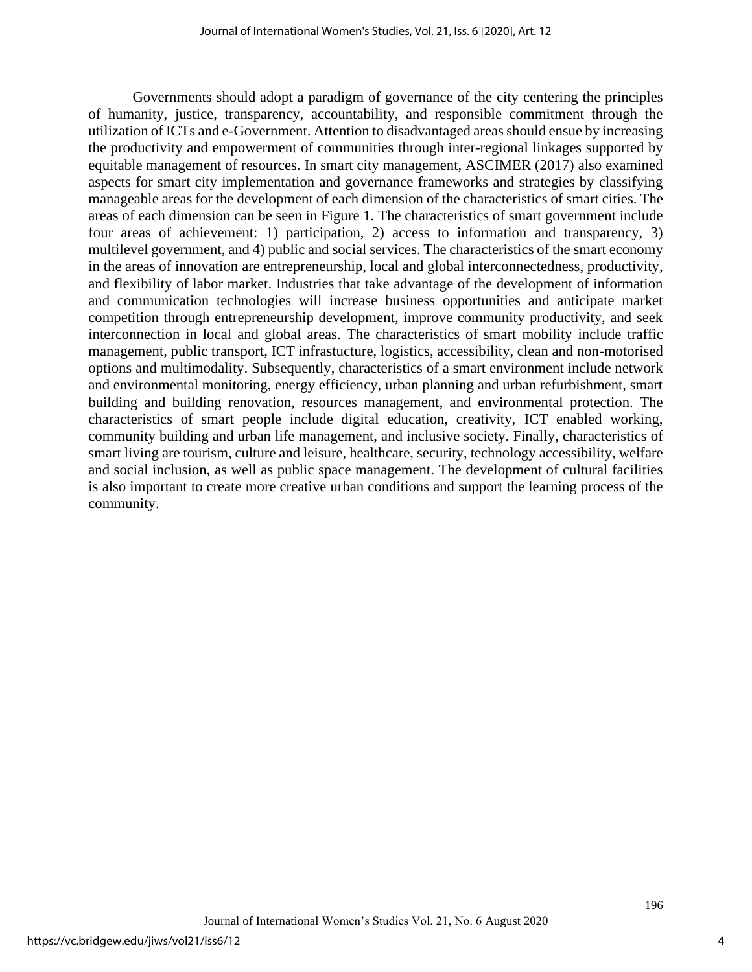Governments should adopt a paradigm of governance of the city centering the principles of humanity, justice, transparency, accountability, and responsible commitment through the utilization of ICTs and e-Government. Attention to disadvantaged areas should ensue by increasing the productivity and empowerment of communities through inter-regional linkages supported by equitable management of resources. In smart city management, ASCIMER (2017) also examined aspects for smart city implementation and governance frameworks and strategies by classifying manageable areas for the development of each dimension of the characteristics of smart cities. The areas of each dimension can be seen in Figure 1. The characteristics of smart government include four areas of achievement: 1) participation, 2) access to information and transparency, 3) multilevel government, and 4) public and social services. The characteristics of the smart economy in the areas of innovation are entrepreneurship, local and global interconnectedness, productivity, and flexibility of labor market. Industries that take advantage of the development of information and communication technologies will increase business opportunities and anticipate market competition through entrepreneurship development, improve community productivity, and seek interconnection in local and global areas. The characteristics of smart mobility include traffic management, public transport, ICT infrastucture, logistics, accessibility, clean and non-motorised options and multimodality. Subsequently, characteristics of a smart environment include network and environmental monitoring, energy efficiency, urban planning and urban refurbishment, smart building and building renovation, resources management, and environmental protection. The characteristics of smart people include digital education, creativity, ICT enabled working, community building and urban life management, and inclusive society. Finally, characteristics of smart living are tourism, culture and leisure, healthcare, security, technology accessibility, welfare and social inclusion, as well as public space management. The development of cultural facilities is also important to create more creative urban conditions and support the learning process of the community.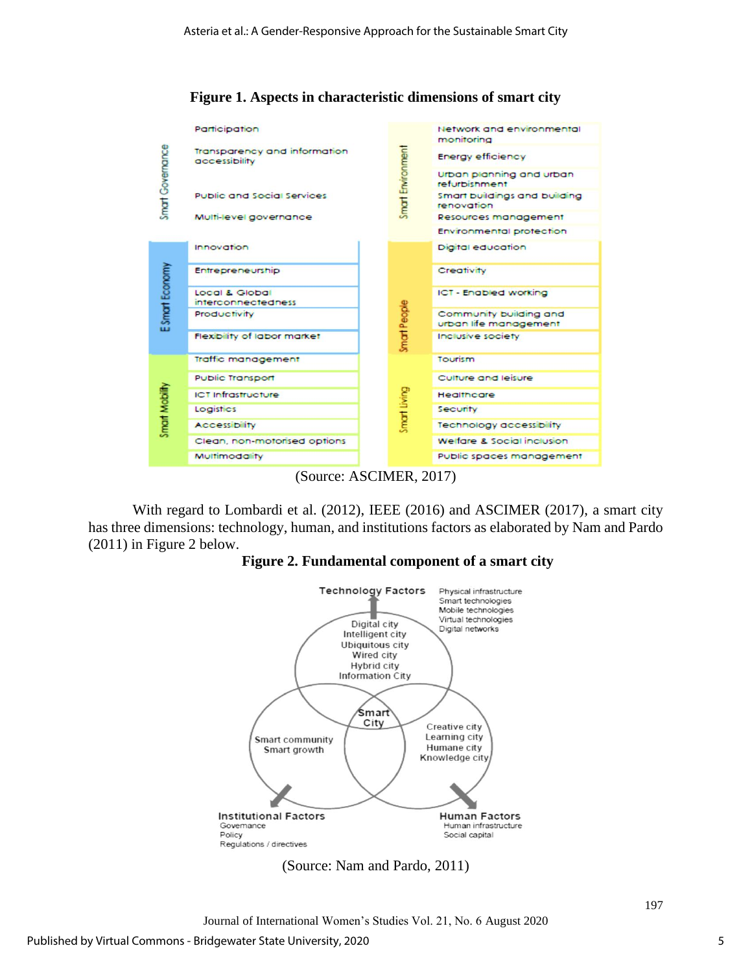

**Figure 1. Aspects in characteristic dimensions of smart city**

(Source: ASCIMER, 2017)

With regard to Lombardi et al. (2012), IEEE (2016) and ASCIMER (2017), a smart city has three dimensions: technology, human, and institutions factors as elaborated by Nam and Pardo (2011) in Figure 2 below.

## **Figure 2. Fundamental component of a smart city**



(Source: Nam and Pardo, 2011)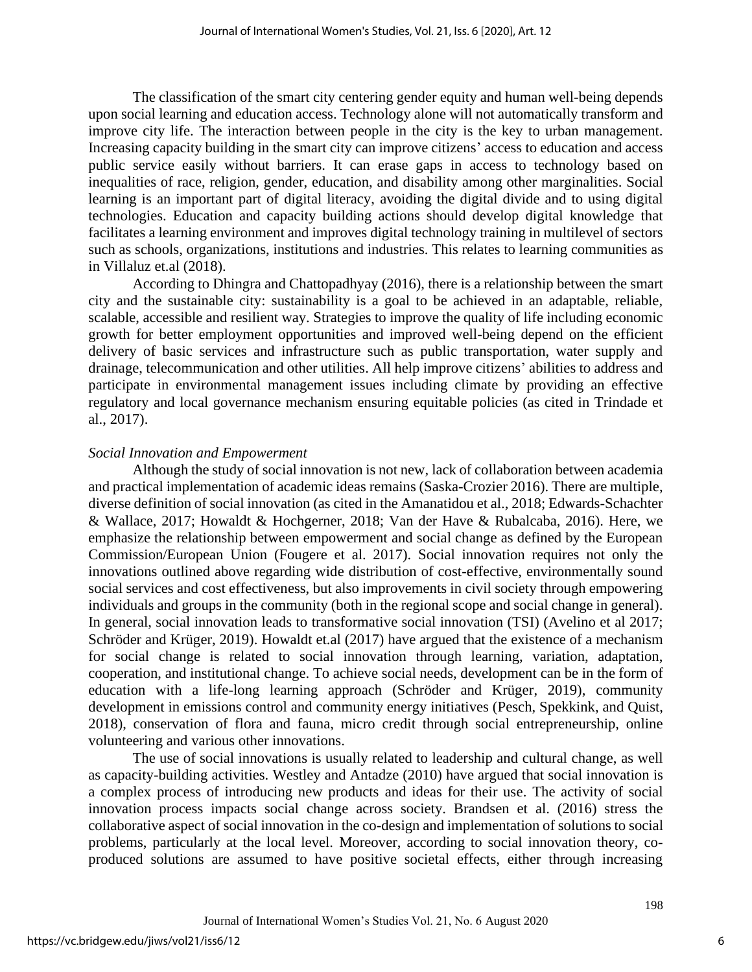The classification of the smart city centering gender equity and human well-being depends upon social learning and education access. Technology alone will not automatically transform and improve city life. The interaction between people in the city is the key to urban management. Increasing capacity building in the smart city can improve citizens' access to education and access public service easily without barriers. It can erase gaps in access to technology based on inequalities of race, religion, gender, education, and disability among other marginalities. Social learning is an important part of digital literacy, avoiding the digital divide and to using digital technologies. Education and capacity building actions should develop digital knowledge that facilitates a learning environment and improves digital technology training in multilevel of sectors such as schools, organizations, institutions and industries. This relates to learning communities as in Villaluz et.al (2018).

According to Dhingra and Chattopadhyay (2016), there is a relationship between the smart city and the sustainable city: sustainability is a goal to be achieved in an adaptable, reliable, scalable, accessible and resilient way. Strategies to improve the quality of life including economic growth for better employment opportunities and improved well-being depend on the efficient delivery of basic services and infrastructure such as public transportation, water supply and drainage, telecommunication and other utilities. All help improve citizens' abilities to address and participate in environmental management issues including climate by providing an effective regulatory and local governance mechanism ensuring equitable policies (as cited in Trindade et al., 2017).

## *Social Innovation and Empowerment*

Although the study of social innovation is not new, lack of collaboration between academia and practical implementation of academic ideas remains (Saska-Crozier 2016). There are multiple, diverse definition of social innovation (as cited in the Amanatidou et al., 2018; Edwards-Schachter & Wallace, 2017; Howaldt & Hochgerner, 2018; Van der Have & Rubalcaba, 2016). Here, we emphasize the relationship between empowerment and social change as defined by the European Commission/European Union (Fougere et al. 2017). Social innovation requires not only the innovations outlined above regarding wide distribution of cost-effective, environmentally sound social services and cost effectiveness, but also improvements in civil society through empowering individuals and groups in the community (both in the regional scope and social change in general). In general, social innovation leads to transformative social innovation (TSI) (Avelino et al 2017; Schröder and Krüger, 2019). Howaldt et.al (2017) have argued that the existence of a mechanism for social change is related to social innovation through learning, variation, adaptation, cooperation, and institutional change. To achieve social needs, development can be in the form of education with a life-long learning approach (Schröder and Krüger, 2019), community development in emissions control and community energy initiatives (Pesch, Spekkink, and Quist, 2018), conservation of flora and fauna, micro credit through social entrepreneurship, online volunteering and various other innovations.

The use of social innovations is usually related to leadership and cultural change, as well as capacity-building activities. Westley and Antadze (2010) have argued that social innovation is a complex process of introducing new products and ideas for their use. The activity of social innovation process impacts social change across society. Brandsen et al. (2016) stress the collaborative aspect of social innovation in the co-design and implementation of solutions to social problems, particularly at the local level. Moreover, according to social innovation theory, coproduced solutions are assumed to have positive societal effects, either through increasing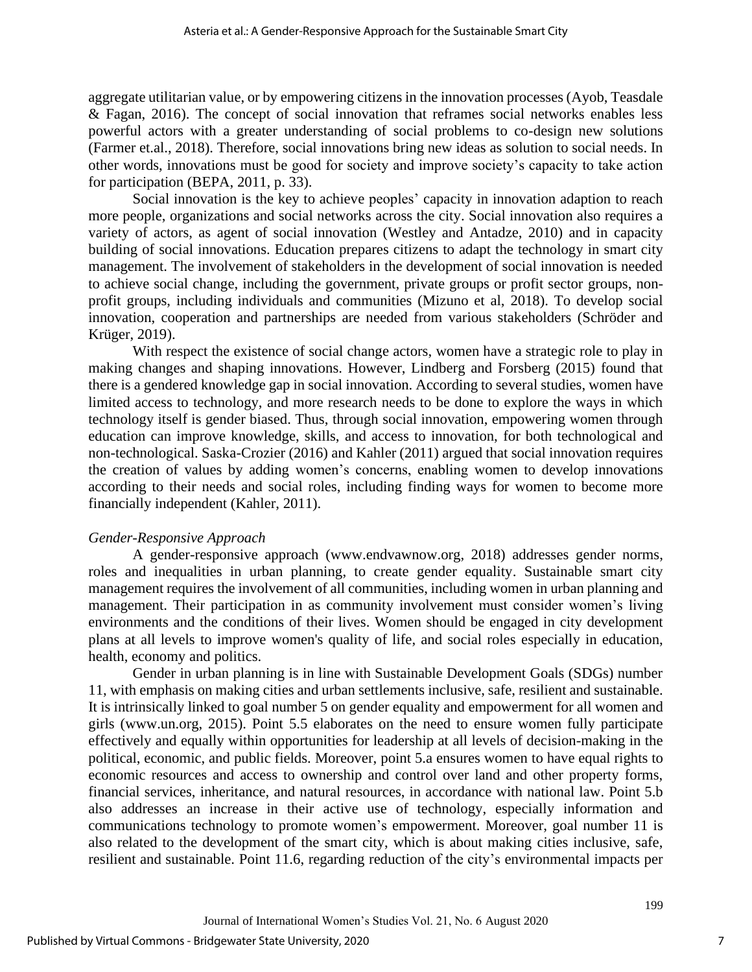aggregate utilitarian value, or by empowering citizens in the innovation processes (Ayob, Teasdale & Fagan, 2016). The concept of social innovation that reframes social networks enables less powerful actors with a greater understanding of social problems to co-design new solutions (Farmer et.al., 2018). Therefore, social innovations bring new ideas as solution to social needs. In other words, innovations must be good for society and improve society's capacity to take action for participation (BEPA, 2011, p. 33).

Social innovation is the key to achieve peoples' capacity in innovation adaption to reach more people, organizations and social networks across the city. Social innovation also requires a variety of actors, as agent of social innovation (Westley and Antadze, 2010) and in capacity building of social innovations. Education prepares citizens to adapt the technology in smart city management. The involvement of stakeholders in the development of social innovation is needed to achieve social change, including the government, private groups or profit sector groups, nonprofit groups, including individuals and communities (Mizuno et al, 2018). To develop social innovation, cooperation and partnerships are needed from various stakeholders (Schröder and Krüger, 2019).

With respect the existence of social change actors, women have a strategic role to play in making changes and shaping innovations. However, Lindberg and Forsberg (2015) found that there is a gendered knowledge gap in social innovation. According to several studies, women have limited access to technology, and more research needs to be done to explore the ways in which technology itself is gender biased. Thus, through social innovation, empowering women through education can improve knowledge, skills, and access to innovation, for both technological and non-technological. Saska-Crozier (2016) and Kahler (2011) argued that social innovation requires the creation of values by adding women's concerns, enabling women to develop innovations according to their needs and social roles, including finding ways for women to become more financially independent (Kahler, 2011).

#### *Gender-Responsive Approach*

A gender-responsive approach [\(www.endvawnow.org,](http://www.endvawnow.org/) 2018) addresses gender norms, roles and inequalities in urban planning, to create gender equality. Sustainable smart city management requires the involvement of all communities, including women in urban planning and management. Their participation in as community involvement must consider women's living environments and the conditions of their lives. Women should be engaged in city development plans at all levels to improve women's quality of life, and social roles especially in education, health, economy and politics.

Gender in urban planning is in line with Sustainable Development Goals (SDGs) number 11, with emphasis on making cities and urban settlements inclusive, safe, resilient and sustainable. It is intrinsically linked to goal number 5 on gender equality and empowerment for all women and girls (www.un.org, 2015). Point 5.5 elaborates on the need to ensure women fully participate effectively and equally within opportunities for leadership at all levels of decision-making in the political, economic, and public fields. Moreover, point 5.a ensures women to have equal rights to economic resources and access to ownership and control over land and other property forms, financial services, inheritance, and natural resources, in accordance with national law. Point 5.b also addresses an increase in their active use of technology, especially information and communications technology to promote women's empowerment. Moreover, goal number 11 is also related to the development of the smart city, which is about making cities inclusive, safe, resilient and sustainable. Point 11.6, regarding reduction of the city's environmental impacts per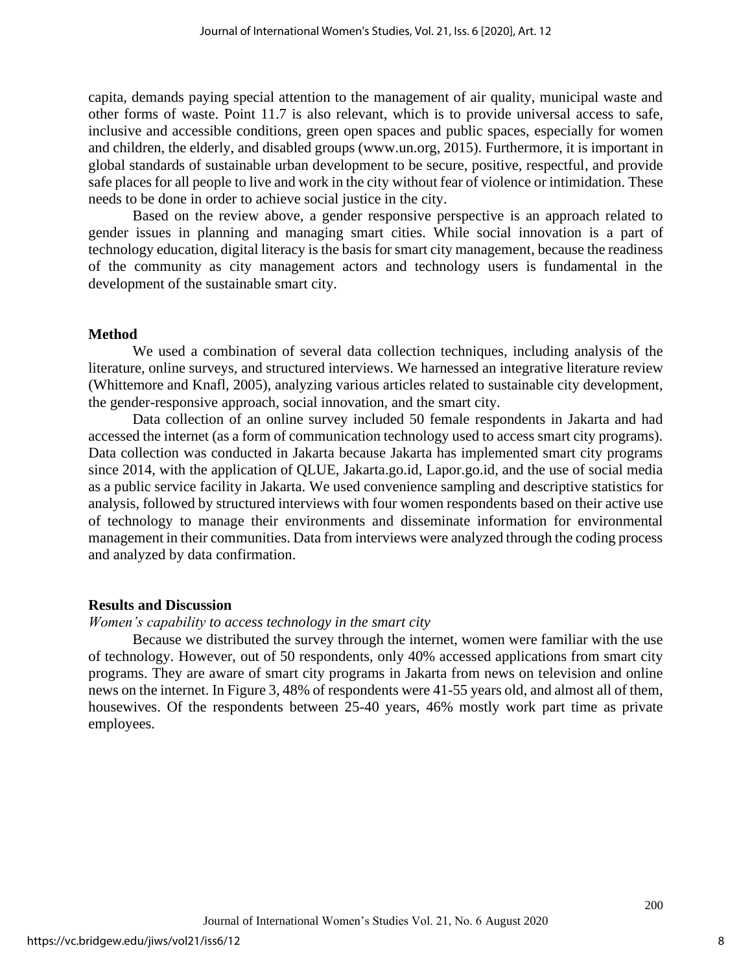capita, demands paying special attention to the management of air quality, municipal waste and other forms of waste. Point 11.7 is also relevant, which is to provide universal access to safe, inclusive and accessible conditions, green open spaces and public spaces, especially for women and children, the elderly, and disabled groups (www.un.org, 2015). Furthermore, it is important in global standards of sustainable urban development to be secure, positive, respectful, and provide safe places for all people to live and work in the city without fear of violence or intimidation. These needs to be done in order to achieve social justice in the city.

Based on the review above, a gender responsive perspective is an approach related to gender issues in planning and managing smart cities. While social innovation is a part of technology education, digital literacy is the basis for smart city management, because the readiness of the community as city management actors and technology users is fundamental in the development of the sustainable smart city.

## **Method**

We used a combination of several data collection techniques, including analysis of the literature, online surveys, and structured interviews. We harnessed an integrative literature review (Whittemore and Knafl, 2005), analyzing various articles related to sustainable city development, the gender-responsive approach, social innovation, and the smart city.

Data collection of an online survey included 50 female respondents in Jakarta and had accessed the internet (as a form of communication technology used to access smart city programs). Data collection was conducted in Jakarta because Jakarta has implemented smart city programs since 2014, with the application of QLUE, Jakarta.go.id, Lapor.go.id, and the use of social media as a public service facility in Jakarta. We used convenience sampling and descriptive statistics for analysis, followed by structured interviews with four women respondents based on their active use of technology to manage their environments and disseminate information for environmental management in their communities. Data from interviews were analyzed through the coding process and analyzed by data confirmation.

#### **Results and Discussion**

#### *Women's capability to access technology in the smart city*

Because we distributed the survey through the internet, women were familiar with the use of technology. However, out of 50 respondents, only 40% accessed applications from smart city programs. They are aware of smart city programs in Jakarta from news on television and online news on the internet. In Figure 3, 48% of respondents were 41-55 years old, and almost all of them, housewives. Of the respondents between 25-40 years, 46% mostly work part time as private employees.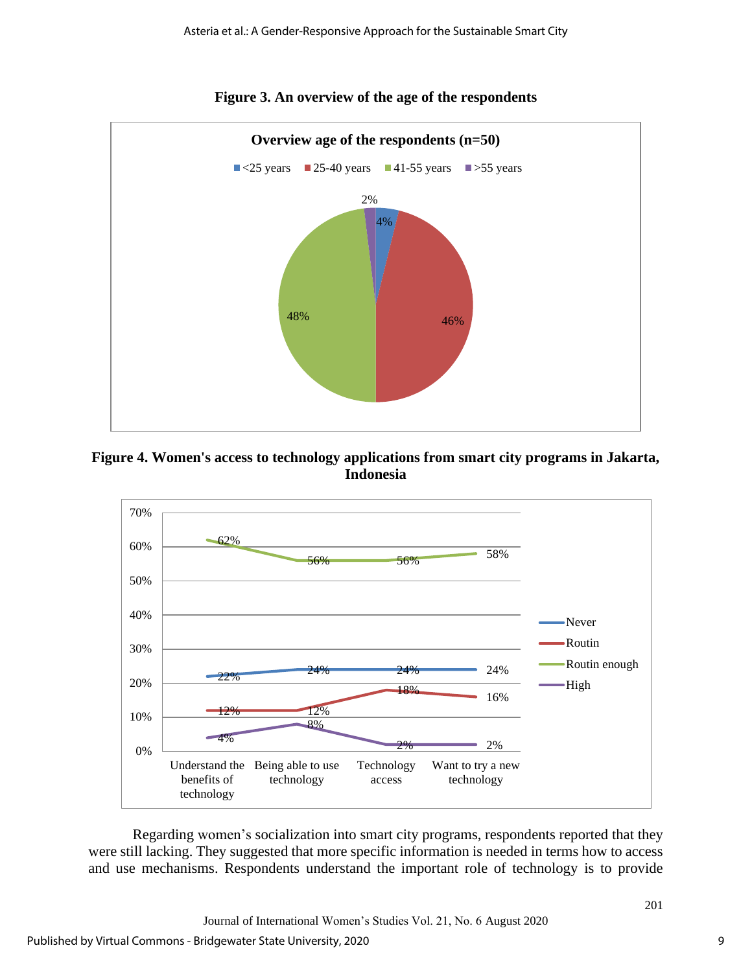

## **Figure 3. An overview of the age of the respondents**

## **Figure 4. Women's access to technology applications from smart city programs in Jakarta, Indonesia**



Regarding women's socialization into smart city programs, respondents reported that they were still lacking. They suggested that more specific information is needed in terms how to access and use mechanisms. Respondents understand the important role of technology is to provide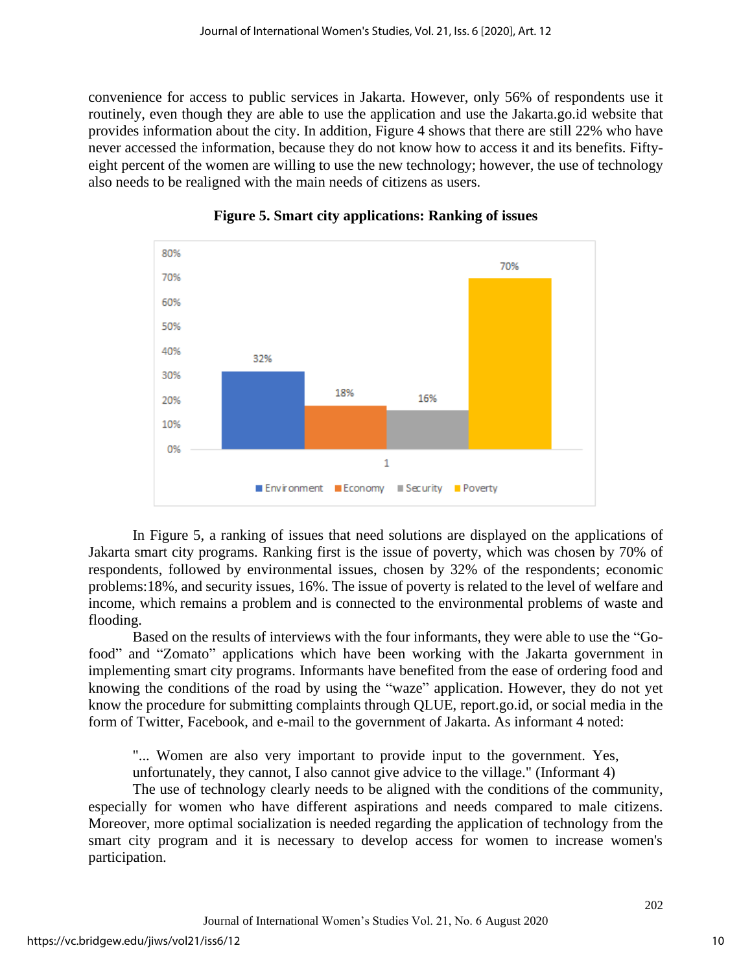convenience for access to public services in Jakarta. However, only 56% of respondents use it routinely, even though they are able to use the application and use the Jakarta.go.id website that provides information about the city. In addition, Figure 4 shows that there are still 22% who have never accessed the information, because they do not know how to access it and its benefits. Fiftyeight percent of the women are willing to use the new technology; however, the use of technology also needs to be realigned with the main needs of citizens as users.



**Figure 5. Smart city applications: Ranking of issues**

In Figure 5, a ranking of issues that need solutions are displayed on the applications of Jakarta smart city programs. Ranking first is the issue of poverty, which was chosen by 70% of respondents, followed by environmental issues, chosen by 32% of the respondents; economic problems:18%, and security issues, 16%. The issue of poverty is related to the level of welfare and income, which remains a problem and is connected to the environmental problems of waste and flooding.

Based on the results of interviews with the four informants, they were able to use the "Gofood" and "Zomato" applications which have been working with the Jakarta government in implementing smart city programs. Informants have benefited from the ease of ordering food and knowing the conditions of the road by using the "waze" application. However, they do not yet know the procedure for submitting complaints through QLUE, report.go.id, or social media in the form of Twitter, Facebook, and e-mail to the government of Jakarta. As informant 4 noted:

"... Women are also very important to provide input to the government. Yes, unfortunately, they cannot, I also cannot give advice to the village." (Informant 4)

The use of technology clearly needs to be aligned with the conditions of the community, especially for women who have different aspirations and needs compared to male citizens. Moreover, more optimal socialization is needed regarding the application of technology from the smart city program and it is necessary to develop access for women to increase women's participation.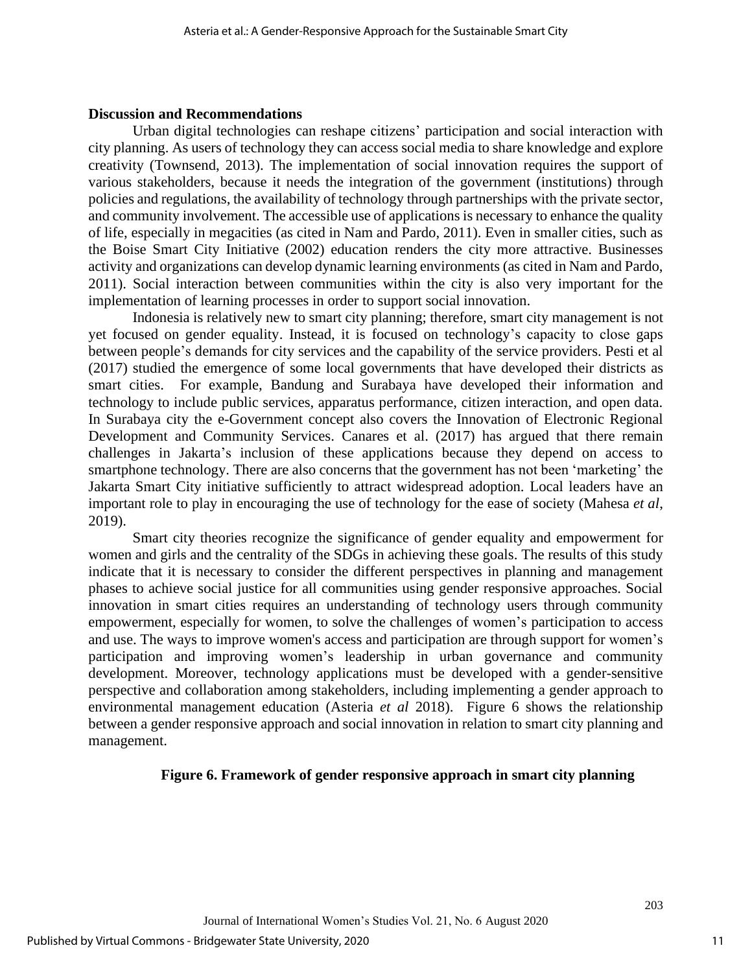#### **Discussion and Recommendations**

Urban digital technologies can reshape citizens' participation and social interaction with city planning. As users of technology they can access social media to share knowledge and explore creativity (Townsend, 2013). The implementation of social innovation requires the support of various stakeholders, because it needs the integration of the government (institutions) through policies and regulations, the availability of technology through partnerships with the private sector, and community involvement. The accessible use of applications is necessary to enhance the quality of life, especially in megacities (as cited in Nam and Pardo, 2011). Even in smaller cities, such as the Boise Smart City Initiative (2002) education renders the city more attractive. Businesses activity and organizations can develop dynamic learning environments (as cited in Nam and Pardo, 2011). Social interaction between communities within the city is also very important for the implementation of learning processes in order to support social innovation.

Indonesia is relatively new to smart city planning; therefore, smart city management is not yet focused on gender equality. Instead, it is focused on technology's capacity to close gaps between people's demands for city services and the capability of the service providers. Pesti et al (2017) studied the emergence of some local governments that have developed their districts as smart cities. For example, Bandung and Surabaya have developed their information and technology to include public services, apparatus performance, citizen interaction, and open data. In Surabaya city the e-Government concept also covers the Innovation of Electronic Regional Development and Community Services. Canares et al. (2017) has argued that there remain challenges in Jakarta's inclusion of these applications because they depend on access to smartphone technology. There are also concerns that the government has not been 'marketing' the Jakarta Smart City initiative sufficiently to attract widespread adoption. Local leaders have an important role to play in encouraging the use of technology for the ease of society (Mahesa *et al*, 2019).

Smart city theories recognize the significance of gender equality and empowerment for women and girls and the centrality of the SDGs in achieving these goals. The results of this study indicate that it is necessary to consider the different perspectives in planning and management phases to achieve social justice for all communities using gender responsive approaches. Social innovation in smart cities requires an understanding of technology users through community empowerment, especially for women, to solve the challenges of women's participation to access and use. The ways to improve women's access and participation are through support for women's participation and improving women's leadership in urban governance and community development. Moreover, technology applications must be developed with a gender-sensitive perspective and collaboration among stakeholders, including implementing a gender approach to environmental management education (Asteria *et al* 2018). Figure 6 shows the relationship between a gender responsive approach and social innovation in relation to smart city planning and management.

#### **Figure 6. Framework of gender responsive approach in smart city planning**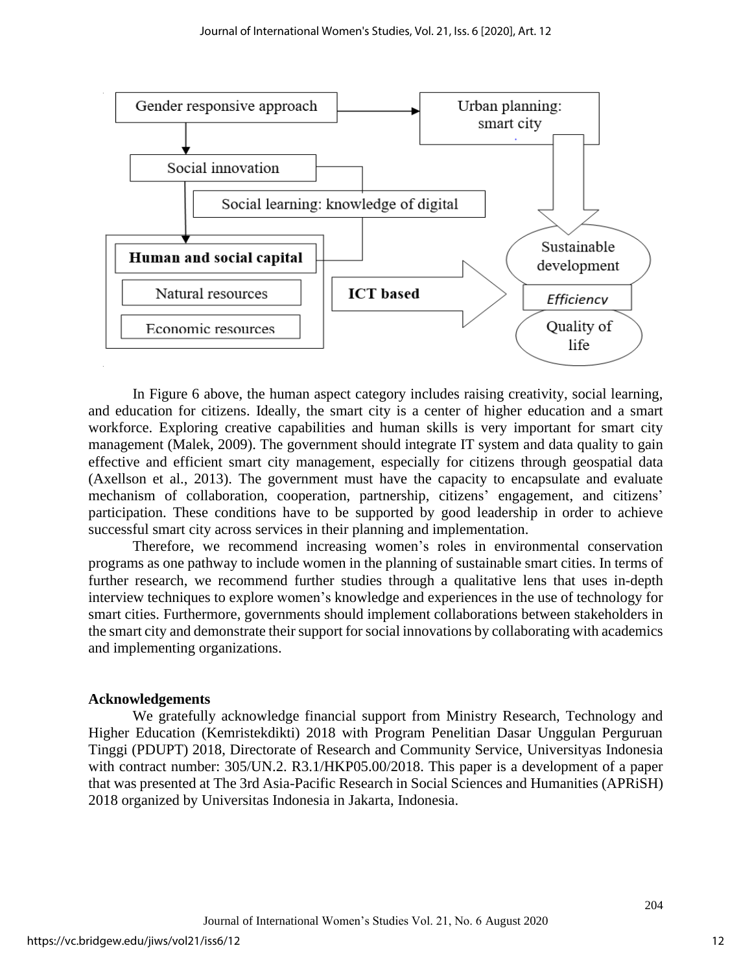

In Figure 6 above, the human aspect category includes raising creativity, social learning, and education for citizens. Ideally, the smart city is a center of higher education and a smart workforce. Exploring creative capabilities and human skills is very important for smart city management (Malek, 2009). The government should integrate IT system and data quality to gain effective and efficient smart city management, especially for citizens through geospatial data (Axellson et al., 2013). The government must have the capacity to encapsulate and evaluate mechanism of collaboration, cooperation, partnership, citizens' engagement, and citizens' participation. These conditions have to be supported by good leadership in order to achieve successful smart city across services in their planning and implementation.

Therefore, we recommend increasing women's roles in environmental conservation programs as one pathway to include women in the planning of sustainable smart cities. In terms of further research, we recommend further studies through a qualitative lens that uses in-depth interview techniques to explore women's knowledge and experiences in the use of technology for smart cities. Furthermore, governments should implement collaborations between stakeholders in the smart city and demonstrate their support for social innovations by collaborating with academics and implementing organizations.

#### **Acknowledgements**

We gratefully acknowledge financial support from Ministry Research, Technology and Higher Education (Kemristekdikti) 2018 with Program Penelitian Dasar Unggulan Perguruan Tinggi (PDUPT) 2018, Directorate of Research and Community Service, Universityas Indonesia with contract number: 305/UN.2. R3.1/HKP05.00/2018. This paper is a development of a paper that was presented at The 3rd Asia-Pacific Research in Social Sciences and Humanities (APRiSH) 2018 organized by Universitas Indonesia in Jakarta, Indonesia.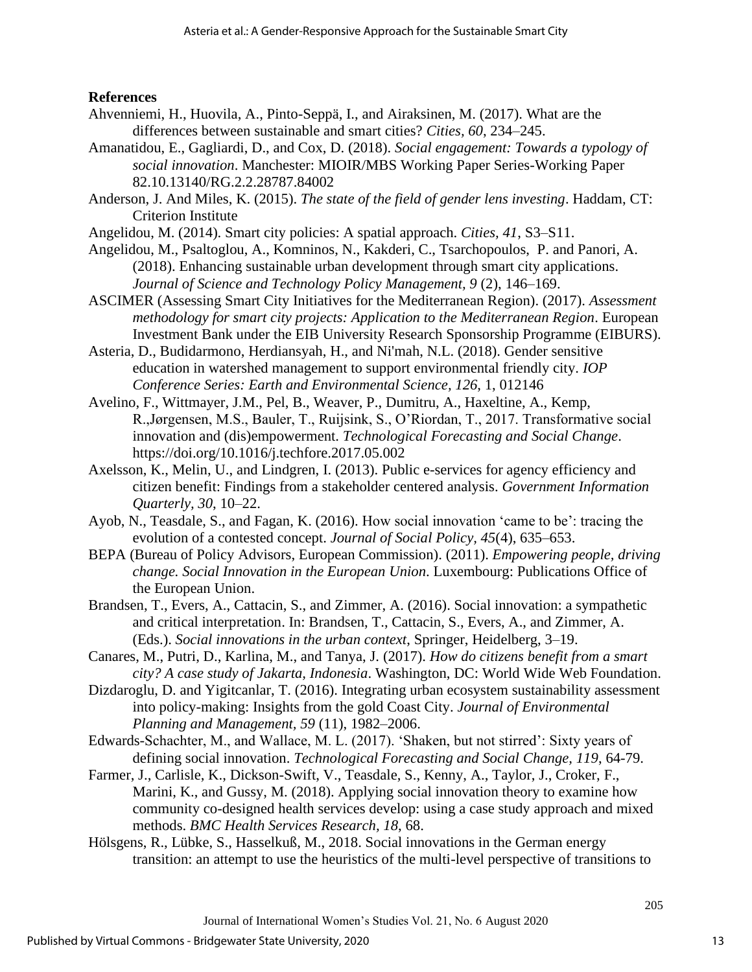## **References**

- Ahvenniemi, H., Huovila, A., Pinto-Seppä, I., and Airaksinen, M. (2017). What are the differences between sustainable and smart cities? *Cities, 60*, 234–245.
- Amanatidou, E., Gagliardi, D., and Cox, D. (2018). *Social engagement: Towards a typology of social innovation*. Manchester: MIOIR/MBS Working Paper Series-Working Paper 82.10.13140/RG.2.2.28787.84002
- Anderson, J. And Miles, K. (2015). *The state of the field of gender lens investing*. Haddam, CT: Criterion Institute
- Angelidou, M. (2014). Smart city policies: A spatial approach. *Cities, 41*, S3–S11.
- Angelidou, M., Psaltoglou, A., Komninos, N., Kakderi, C., Tsarchopoulos, P. and Panori, A. (2018). Enhancing sustainable urban development through smart city applications. *Journal of Science and Technology Policy Management, 9* (2), 146–169.
- ASCIMER (Assessing Smart City Initiatives for the Mediterranean Region). (2017). *Assessment methodology for smart city projects: Application to the Mediterranean Region*. European Investment Bank under the EIB University Research Sponsorship Programme (EIBURS).
- Asteria, D., Budidarmono, Herdiansyah, H., and Ni'mah, N.L. (2018). Gender sensitive education in watershed management to support environmental friendly city. *[IOP](http://iopscience.iop.org/journal/1755-1315)  [Conference Series: Earth and Environmental Science,](http://iopscience.iop.org/journal/1755-1315) [126](http://iopscience.iop.org/volume/1755-1315/126)*, [1,](http://iopscience.iop.org/issue/1755-1315/126/1) 012146
- Avelino, F., Wittmayer, J.M., Pel, B., Weaver, P., Dumitru, A., Haxeltine, A., Kemp, R.,Jørgensen, M.S., Bauler, T., Ruijsink, S., O'Riordan, T., 2017. Transformative social innovation and (dis)empowerment. *Technological Forecasting and Social Change*. <https://doi.org/10.1016/j.techfore.2017.05.002>
- Axelsson, K., Melin, U., and Lindgren, I. (2013). Public e-services for agency efficiency and citizen benefit: Findings from a stakeholder centered analysis. *Government Information Quarterly, 30*, 10–22.
- Ayob, N., Teasdale, S., and Fagan, K. (2016). How social innovation 'came to be': tracing the evolution of a contested concept. *Journal of Social Policy, 45*(4), 635–653.
- BEPA (Bureau of Policy Advisors, European Commission). (2011). *Empowering people, driving change. Social Innovation in the European Union*. Luxembourg: Publications Office of the European Union.
- Brandsen, T., Evers, A., Cattacin, S., and Zimmer, A. (2016). Social innovation: a sympathetic and critical interpretation. In: Brandsen, T., Cattacin, S., Evers, A., and Zimmer, A. (Eds.). *Social innovations in the urban context*, Springer, Heidelberg, 3–19.
- Canares, M., Putri, D., Karlina, M., and Tanya, J. (2017). *How do citizens benefit from a smart city? A case study of Jakarta, Indonesia*. Washington, DC: World Wide Web Foundation.
- Dizdaroglu, D. and Yigitcanlar, T. (2016). Integrating urban ecosystem sustainability assessment into policy-making: Insights from the gold Coast City. *Journal of Environmental Planning and Management, 59* (11), 1982–2006.
- Edwards-Schachter, M., and Wallace, M. L. (2017). 'Shaken, but not stirred': Sixty years of defining social innovation. *Technological Forecasting and Social Change, 119*, 64-79.
- Farmer, J., Carlisle, K., Dickson-Swift, V., Teasdale, S., Kenny, A., Taylor, J., Croker, F., Marini, K., and Gussy, M. (2018). Applying social innovation theory to examine how community co-designed health services develop: using a case study approach and mixed methods. *BMC Health Services Research, 18*, 68.
- Hölsgens, R., Lübke, S., Hasselkuß, M., 2018. Social innovations in the German energy transition: an attempt to use the heuristics of the multi-level perspective of transitions to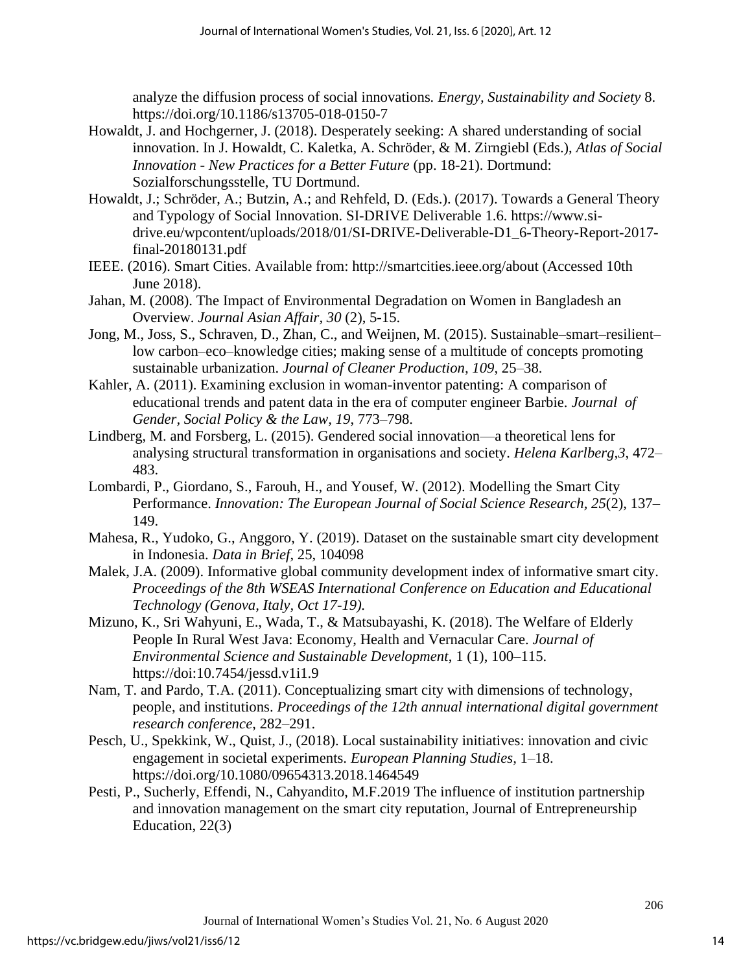analyze the diffusion process of social innovations*. Energy, Sustainability and Society* 8. <https://doi.org/10.1186/s13705-018-0150-7>

- Howaldt, J. and Hochgerner, J. (2018). Desperately seeking: A shared understanding of social innovation. In J. Howaldt, C. Kaletka, A. Schröder, & M. Zirngiebl (Eds.), *Atlas of Social Innovation - New Practices for a Better Future* (pp. 18-21). Dortmund: Sozialforschungsstelle, TU Dortmund.
- Howaldt, J.; Schröder, A.; Butzin, A.; and Rehfeld, D. (Eds.). (2017). Towards a General Theory and Typology of Social Innovation. SI-DRIVE Deliverable 1.6. https://www.sidrive.eu/wpcontent/uploads/2018/01/SI-DRIVE-Deliverable-D1\_6-Theory-Report-2017 final-20180131.pdf
- IEEE. (2016). Smart Cities. Available from: http://smartcities.ieee.org/about (Accessed 10th June 2018).
- Jahan, M. (2008). The Impact of Environmental Degradation on Women in Bangladesh an Overview. *Journal Asian Affair, 30* (2), 5-15.
- Jong, M., Joss, S., Schraven, D., Zhan, C., and Weijnen, M. (2015). Sustainable–smart–resilient– low carbon–eco–knowledge cities; making sense of a multitude of concepts promoting sustainable urbanization. *Journal of Cleaner Production, 109*, 25–38.
- Kahler, A. (2011). Examining exclusion in woman-inventor patenting: A comparison of educational trends and patent data in the era of computer engineer Barbie. *Journal of Gender, Social Policy & the Law, 19*, 773–798.
- Lindberg, M. and Forsberg, L. (2015). Gendered social innovation—a theoretical lens for analysing structural transformation in organisations and society. *Helena Karlberg,3*, 472– 483.
- Lombardi, P., Giordano, S., Farouh, H., and Yousef, W. (2012). Modelling the Smart City Performance. *Innovation: The European Journal of Social Science Research, 25*(2), 137– 149.
- Mahesa, R., Yudoko, G., Anggoro, Y. (2019). Dataset on the sustainable smart city development in Indonesia. *Data in Brief*, 25, 104098
- Malek, J.A. (2009). Informative global community development index of informative smart city. *Proceedings of the 8th WSEAS International Conference on Education and Educational Technology (Genova, Italy, Oct 17-19).*
- Mizuno, K., Sri Wahyuni, E., Wada, T., & Matsubayashi, K. (2018). The Welfare of Elderly People In Rural West Java: Economy, Health and Vernacular Care. *Journal of Environmental Science and Sustainable Development*, 1 (1), 100–115. https://doi:10.7454/jessd.v1i1.9
- Nam, T. and Pardo, T.A. (2011). Conceptualizing smart city with dimensions of technology, people, and institutions. *Proceedings of the 12th annual international digital government research conference*, 282–291.
- Pesch, U., Spekkink, W., Quist, J., (2018). Local sustainability initiatives: innovation and civic engagement in societal experiments. *European Planning Studies,* 1–18. <https://doi.org/10.1080/09654313.2018.1464549>
- Pesti, P., Sucherly, Effendi, N., Cahyandito, M.F.2019 The influence of institution partnership and innovation management on the smart city reputation, Journal of Entrepreneurship Education, 22(3)

14